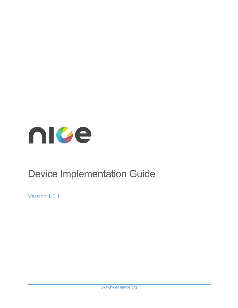

# Device Implementation Guide

Version 1.0.1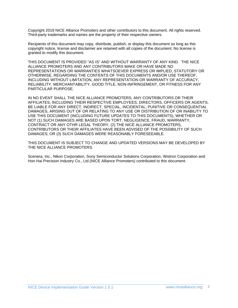Copyright 2019 NICE Alliance Promoters and other contributors to this document. All rights reserved. Third-party trademarks and names are the property of their respective owners.

Recipients of this document may copy, distribute, publish, or display this document so long as this copyright notice, license and disclaimer are retained with all copies of the document. No license is granted to modify this document.

THIS DOCUMENT IS PROVIDED "AS IS" AND WITHOUT WARRANTY OF ANY KIND. THE NICE ALLIANCE PROMOTERS AND ANY CONTRIBUTORS MAKE OR HAVE MADE NO REPRESENTATIONS OR WARRANTIES WHATSOEVER EXPRESS OR IMPLIED, STATUTORY OR OTHERWISE, REGARDING THE CONTENTS OF THIS DOCUMENTS AND/OR USE THEREOF, INCLUDING WITHOUT LIMITATION, ANY REPRESENTATION OR WARRANTY OF ACCURACY, RELIABILITY, MERCHANTABILITY, GOOD TITLE, NON-INFRINGEMENT, OR FITNESS FOR ANY PARTICULAR PURPOSE.

IN NO EVENT SHALL THE NICE ALLIANCE PROMOTERS, ANY CONTRIBUTORS OR THEIR AFFILIATES, INCLUDING THEIR RESPECTIVE EMPLOYEES, DIRECTORS, OFFICERS OR AGENTS, BE LIABLE FOR ANY DIRECT, INDIRECT, SPECIAL, INCIDENTAL, PUNITIVE OR CONSEQUENTIAL DAMAGES, ARISING OUT OF OR RELATING TO ANY USE OR DISTRIBUTION OF OR INABILITY TO USE THIS DOCUMENT (INCLUDING FUTURE UPDATES TO THIS DOCUMENTS), WHETHER OR NOT (1) SUCH DAMAGES ARE BASED UPON TORT, NEGLIGENCE, FRAUD, WARRANTY, CONTRACT OR ANY OTHR LEGAL THEORY, (2) THE NICE ALLIANCE PROMOTERS, CONTRIBUTORS OR THEIR AFFILIATES HAVE BEEN ADVISED OF THE POSSIBILITY OF SUCH DAMAGES; OR (3) SUCH DAMAGES WERE REASONABLY FORESEEABLE.

THIS DOCUMENT IS SUBJECT TO CHANGE AND UPDATED VERSIONS MAY BE DEVELOPED BY THE NICE ALLIANCE PROMOTERS.

Scenera, Inc., Nikon Corporation, Sony Semiconductor Solutions Corporation, Wistron Corporation and Hon Hai Precision Industry Co., Ltd.(NICE Alliance Promoters) contributed to this document.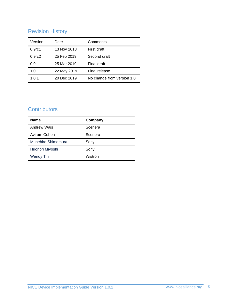# Revision History

| Version            | Date        | Comments                   |
|--------------------|-------------|----------------------------|
| 0.9 <sub>rc1</sub> | 13 Nov 2018 | First draft                |
| 0.9 <sub>rc2</sub> | 25 Feb 2019 | Second draft               |
| 0.9                | 25 Mar 2019 | Final draft                |
| 1.0                | 22 May 2019 | Final release              |
| 1.0.1              | 20 Dec 2019 | No change from version 1.0 |

# **Contributors**

| <b>Name</b>        | Company |
|--------------------|---------|
| Andrew Wajs        | Scenera |
| Aviram Cohen       | Scenera |
| Munehiro Shimomura | Sony    |
| Hironori Miyoshi   | Sony    |
| <b>Wendy Tin</b>   | Wistron |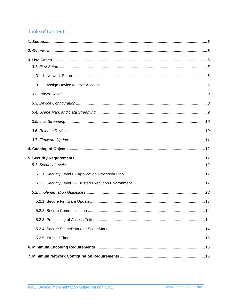# **Table of Contents**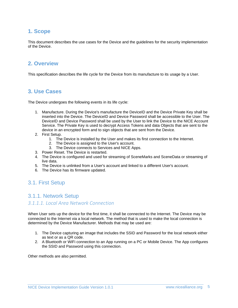## <span id="page-4-0"></span>**1. Scope**

This document describes the use cases for the Device and the guidelines for the security implementation of the Device.

#### <span id="page-4-1"></span>**2. Overview**

This specification describes the life cycle for the Device from its manufacture to its usage by a User.

#### <span id="page-4-2"></span>**3. Use Cases**

The Device undergoes the following events in its life cycle:

- 1. Manufacture. During the Device's manufacture the DeviceID and the Device Private Key shall be inserted into the Device. The DeviceID and Device Password shall be accessible to the User. The DeviceID and Device Password shall be used by the User to link the Device to the NICE Account Service. The Private Key is used to decrypt Access Tokens and data Objects that are sent to the device in an encrypted form and to sign objects that are sent from the Device.
- 2. First Setup.
	- 1. The Device is installed by the User and makes its first connection to the Internet.
	- 2. The Device is assigned to the User's account.
	- 3. The Device connects to Services and NICE Apps.
- 3. Power Reset. The Device is restarted.
- 4. The Device is configured and used for streaming of SceneMarks and SceneData or streaming of live data.
- 5. The Device is unlinked from a User's account and linked to a different User's account.
- 6. The Device has its firmware updated.

## <span id="page-4-4"></span><span id="page-4-3"></span>3.1. First Setup

#### 3.1.1. Network Setup

#### *3.1.1.1. Local Area Network Connection*

When User sets up the device for the first time, it shall be connected to the Internet. The Device may be connected to the Internet via a local network. The method that is used to make the local connection is determined by the Device Manufacturer. Methods that may be used are:

- 1. The Device capturing an image that includes the SSID and Password for the local network either as text or as a QR code.
- 2. A Bluetooth or WiFi connection to an App running on a PC or Mobile Device. The App configures the SSID and Password using this connection.

Other methods are also permitted.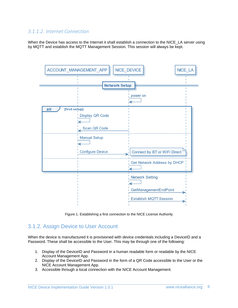#### *3.1.1.2. Internet Connection*

When the Device has access to the Internet it shall establish a connection to the NICE\_LA server using by MQTT and establish the MQTT Management Session. This session will always be kept.



Figure 1. Establishing a first connection to the NICE License Authority

## <span id="page-5-0"></span>3.1.2. Assign Device to User Account

When the device is manufactured it is provisioned with device credentials including a DeviceID and a Password. These shall be accessible to the User. This may be through one of the following:

- 1. Display of the DeviceID and Password in a human readable form or readable by the NICE Account Management App.
- 2. Display of the DeviceID and Password in the form of a QR Code accessible to the User or the NICE Account Management App.
- 3. Accessible through a local connection with the NICE Account Management.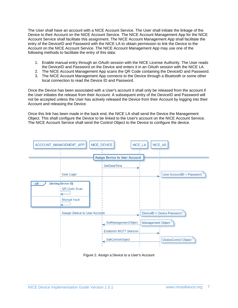The User shall have an account with a NICE Account Service. The User shall initiate the linkage of the Device to their Account on the NICE Account Service. The NICE Account Management App for the NICE Account Service shall facilitate this assignment. The NICE Account Management App shall facilitate the entry of the DeviceID and Password with the NICE LA to obtain permission to link the Device to the Account on the NICE Account Service. The NICE Account Management App may use one of the following methods to facilitate the entry of this data:

- 1. Enable manual entry through an OAuth session with the NICE License Authority. The User reads the DeviceID and Password on the Device and enters it in an OAuth session with the NICE LA.
- 2. The NICE Account Management App scans the QR Code containing the DeviceID and Password.
- 3. The NICE Account Management App connects to the Device through a Bluetooth or some other local connection to read the Device ID and Password.

Once the Device has been associated with a User's account it shall only be released from the account if the User initiates the release from their Account. A subsequent entry of the DeviceID and Password will not be accepted unless the User has actively released the Device from their Account by logging into their Account and releasing the Device.

Once this link has been made in the back end, the NICE LA shall send the Device the Management Object. This shall configure the Device to be linked to the User's account on the NICE Account Service. The NICE Account Service shall send the Control Object to the Device to configure the device.



Figure 2. Assign a Device to a User's Account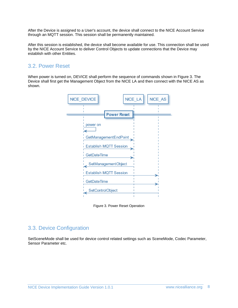After the Device is assigned to a User's account, the device shall connect to the NICE Account Service through an MQTT session. This session shall be permanently maintained.

After this session is established, the device shall become available for use. This connection shall be used by the NICE Account Service to deliver Control Objects to update connections that the Device may establish with other Entities.

## <span id="page-7-0"></span>3.2. Power Reset

When power is turned on, DEVICE shall perform the sequence of commands shown in Figure 3. The Device shall first get the Management Object from the NICE LA and then connect with the NICE AS as shown.



Figure 3. Power Reset Operation

## <span id="page-7-1"></span>3.3. Device Configuration

SetSceneMode shall be used for device control related settings such as SceneMode, Codec Parameter, Sensor Parameter etc.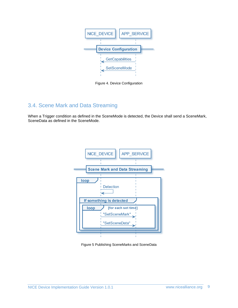

Figure 4. Device Configuration

## <span id="page-8-0"></span>3.4. Scene Mark and Data Streaming

When a Trigger condition as defined in the SceneMode is detected, the Device shall send a SceneMark, SceneData as defined in the SceneMode.



Figure 5 Publishing SceneMarks and SceneData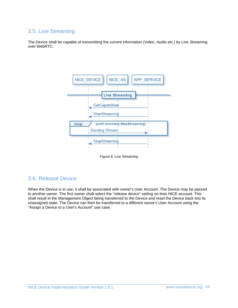## <span id="page-9-0"></span>3.5. Live Streaming

The Device shall be capable of transmitting the current information (Video, Audio etc.) by Live Streaming over WebRTC.



Figure 6. Live Streaming

#### <span id="page-9-1"></span>3.6. Release Device

When the Device is in use, it shall be associated with owner's User Account. The Device may be passed to another owner. The first owner shall select the "release device" setting on their NICE account. This shall result in the Management Object being transferred to the Device and reset the Device back into its unassigned state. The Device can then be transferred to a different owner's User Account using the "Assign a Device to a User's Account" use case.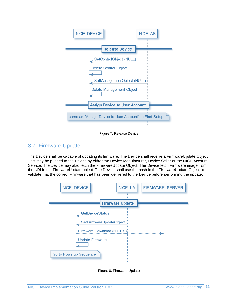

Figure 7. Release Device

## <span id="page-10-0"></span>3.7. Firmware Update

The Device shall be capable of updating its firmware. The Device shall receive a FirmwareUpdate Object. This may be pushed to the Device by either the Device Manufacturer, Device Seller or the NICE Account Service. The Device may also fetch the FirmwareUpdate Object. The Device fetch Firmware image from the URI in the FirmwareUpdate object. The Device shall use the hash in the FirmwareUpdate Object to validate that the correct Firmware that has been delivered to the Device before performing the update.



Figure 8. Firmware Update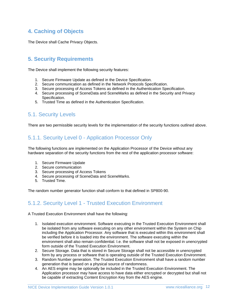## <span id="page-11-0"></span>**4. Caching of Objects**

The Device shall Cache Privacy Objects.

## <span id="page-11-1"></span>**5. Security Requirements**

The Device shall implement the following security features:

- 1. Secure Firmware Update as defined in the Device Specification.
- 2. Secure communication as defined in the Network Protocols Specification.
- 3. Secure processing of Access Tokens as defined in the Authentication Specification.
- 4. Secure processing of SceneData and SceneMarks as defined in the Security and Privacy Specification.
- 5. Trusted Time as defined in the Authentication Specification.

### <span id="page-11-2"></span>5.1. Security Levels

There are two permissible security levels for the implementation of the security functions outlined above.

## <span id="page-11-3"></span>5.1.1. Security Level 0 - Application Processor Only

The following functions are implemented on the Application Processor of the Device without any hardware separation of the security functions from the rest of the application processor software:

- 1. Secure Firmware Update
- 2. Secure communication
- 3. Secure processing of Access Tokens
- 4. Secure processing of SceneData and SceneMarks.
- 5. Trusted Time.

The random number generator function shall conform to that defined in SP800-90.

## <span id="page-11-4"></span>5.1.2. Security Level 1 - Trusted Execution Environment

A Trusted Execution Environment shall have the following:

- 1. Isolated execution environment. Software executing in the Trusted Execution Environment shall be isolated from any software executing on any other environment within the System on Chip including the Application Processor. Any software that is executed within this environment shall be verified before it is loaded into the environment. The software executing within the environment shall also remain confidential. I.e. the software shall not be exposed in unencrypted form outside of the Trusted Execution Environment.
- 2. Secure Storage. Data that is stored in Secure Storage shall not be accessible in unencrypted form by any process or software that is operating outside of the Trusted Execution Environment.
- 3. Random Number generation. The Trusted Execution Environment shall have a random number generation that is based on a physical source of randomness.
- 4. An AES engine may be optionally be included in the Trusted Execution Environment. The Application processor may have access to have data either encrypted or decrypted but shall not be capable of extracting Content Encryption Key from the AES engine.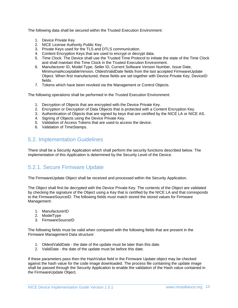The following data shall be secured within the Trusted Execution Environment:

- 1. Device Private Key
- 2. NICE License Authority Public Key.
- 3. Private Keys used for the TLS and DTLS communication.
- 4. Content Encryption Keys that are used to encrypt or decrypt data.
- 5. Time Clock. The Device shall use the Trusted Time Protocol to initiate the state of the Time Clock and shall maintain this Time Clock in the Trusted Execution Environment.
- 6. Manufacturer ID, Model Type, Seller ID, Current Software Version Number, Issue Date, MinimumalAcceptableVersion, OldestValidDate fields from the last accepted FirmwareUpdate Object. When first manufactured, these fields are set together with Device Private Key, DeviceID fields.
- 7. Tokens which have been revoked via the Management or Control Objects.

The following operations shall be performed in the Trusted Execution Environment:

- 1. Decryption of Objects that are encrypted with the Device Private Key.
- 2. Encryption or Decryption of Data Objects that is protected with a Content Encryption Key.
- 3. Authentication of Objects that are signed by keys that are certified by the NICE LA or NICE AS.
- 4. Signing of Objects using the Device Private Key.
- 5. Validation of Access Tokens that are used to access the device.
- 6. Validation of TimeStamps.

## <span id="page-12-0"></span>5.2. Implementation Guidelines

There shall be a Security Application which shall perform the security functions described below. The implementation of this Application is determined by the Security Level of the Device.

## <span id="page-12-1"></span>5.2.1. Secure Firmware Update

The FirmwareUpdate Object shall be received and processed within the Security Application.

The Object shall first be decrypted with the Device Private Key. The contents of the Object are validated by checking the signature of the Object using a Key that is certified by the NICE LA and that corresponds to the FirmwareSourceID. The following fields must match stored the stored values for Firmware Management:

- 1. ManufacturerID
- 2. ModelType
- 3. FirmwareSourceID

The following fields must be valid when compared with the following fields that are present in the Firmware Management Data structure:

- 1. OldestValidDate the date of the update must be later than this date.
- 2. ValidDate the date of the update must be before this date.

If these parameters pass then the HashValue field in the Firmware Update object may be checked against the hash value for the code image downloaded. The process file containing the update image shall be passed through the Security Application to enable the validation of the Hash value contained in the FirmwareUpdate Object.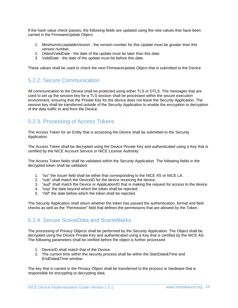If the hash value check passes, the following fields are updated using the new values that have been carried in the FirmwareUpdate Object:

- 1. MinimumAcceptableVersion the version number for this Update must be greater than this version number.
- 2. OldestValidDate the date of the update must be later than this date.
- 3. ValidDate the date of the update must be before this date.

These values shall be used to check the next FirmwareUpdate Object that is submitted to the Device.

## <span id="page-13-0"></span>5.2.2. Secure Communication

All communication to the Device shall be protected using either TLS or DTLS. The messages that are used to set up the session key for a TLS session shall be processed within the secure execution environment, ensuring that the Private Key for the device does not leave the Security Application. The session key shall be transferred outside of the Security Application to enable the encryption or decryption of the data traffic to and from the Device.

## <span id="page-13-1"></span>5.2.3. Processing of Access Tokens

The Access Token for an Entity that is accessing the Device shall be submitted to the Security Application.

The Access Token shall be decrypted using the Device Private Key and authenticated using a Key that is certified by the NICE Account Service or NICE License Authority.

The Access Token fields shall be validated within the Security Application. The following fields in the decrypted token shall be validated:

- 1. "iss" the issuer field shall be either that corresponding to the NICE AS or NICE LA.
- 2. "sub" shall match the DeviceID for the device receiving the device.
- 3. "aud" shall match the Device or ApplicationID that is making the request for access to the device.
- 4. "exp" the date beyond which the token shall be rejected.
- 5. "nbf" the date before which the token shall be rejected.

The Security Application shall return whether the token has passed the authentication, format and field checks as well as the "Permission" field that defines the permissions that are allowed by the Token.

## <span id="page-13-2"></span>5.2.4. Secure SceneData and SceneMarks

The processing of Privacy Objects shall be performed by the Security Application. The Object shall be decrypted using the Device Private Key and authenticated using a Key that is certified by the NICE AS. The following parameters shall be verified before the object is further processed:

- 1. DeviceID shall match that of the Device.
- 2. The current time within the security process shall be within the StartDate&Time and EndDate&Time window.

The key that is carried in the Privacy Object shall be transferred to the process or hardware that is responsible for encrypting or decrypting data.